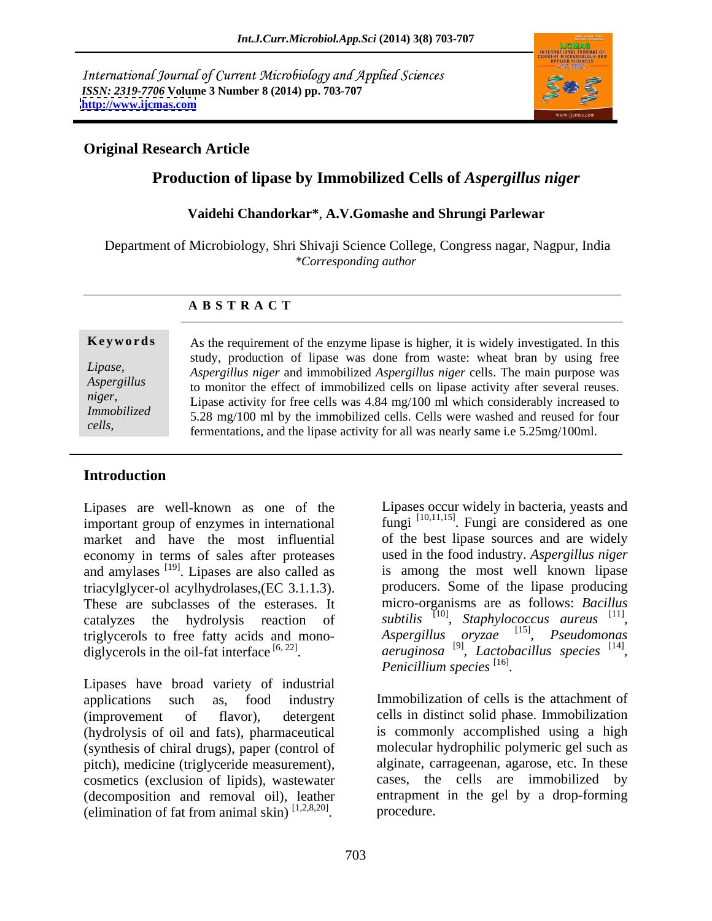International Journal of Current Microbiology and Applied Sciences *ISSN: 2319-7706* **Volume 3 Number 8 (2014) pp. 703-707 <http://www.ijcmas.com>**



## **Original Research Article**

## **Production of lipase by Immobilized Cells of** *Aspergillus niger*

## **Vaidehi Chandorkar\***, **A.V.Gomashe and Shrungi Parlewar**

Department of Microbiology, Shri Shivaji Science College, Congress nagar, Nagpur, India *\*Corresponding author*

### **A B S T R A C T**

**Keywords** As the requirement of the enzyme lipase is higher, it is widely investigated. In this *Lipase, Aspergillus niger* and immobilized *Aspergillus niger* cells. The main purpose was *Aspergillus* to monitor the effect of immobilized cells on lipase activity after several reuses. *niger*,<br>
Lipase activity for free cells was 4.84 mg/100 ml which considerably increased to *Immobilized* 5.28 mg/100 ml by the immobilized cells. Cells were washed and reused for four *cells,*  fermentations, and the lipase activity for all was nearly same i.e 5.25mg/100ml.study, production of lipase was done from waste: wheat bran by using free

## **Introduction**

Lipases are well-known as one of the Lipases occur widely in bacteria, yeasts and important group of enzymes in international market and have the most influential of the best lipase sources and are widely economy in terms of sales after proteases and amylases <sup>[19]</sup>. Lipases are also called as triacylglycer-ol acylhydrolases,(EC 3.1.1.3). These are subclasses of the esterases. It catalyzes the hydrolysis reaction of *subtilis*<sup>[10]</sup>, *Staphylococcus aureus*<sup>[11]</sup>,<br>triglycerols to free fatty acids and mono- *Aspergillus oryzae*<sup>[15]</sup>, *Pseudomonas* triglycerols to free fatty acids and mono-<br>diglycerols in the oil-fat interface  $[6, 22]$ . diglycerols in the oil-fat interface  $[6, 22]$ , *aeruginosa*  $[9]$ , *Lactobacillus species*  $[14]$ ,

Lipases have broad variety of industrial applications such as, food industry Immobilization of cells is the attachment of (improvement of flavor), detergent cells in distinct solid phase. Immobilization (hydrolysis of oil and fats), pharmaceutical (synthesis of chiral drugs), paper (control of pitch), medicine (triglyceride measurement), cosmetics (exclusion of lipids), wastewater (decomposition and removal oil), leather (elimination of fat from animal skin)  $[1,2,8,20]$  procedure.

<sup>[19]</sup>. Lipases are also called as is among the most well known lipase Lipases occur widely in bacteria, yeasts and<br>
lumgi [10,11,15]. Fungi are considered as one<br>
of the best lipase sources and are widely<br>
used in the food industry. Aspergillus niger<br>
is among the most well known lipase<br>
pro fungi <sup>[10,11,15]</sup>. Fungi are considered as one used in the food industry. *Aspergillus niger* producers. Some of the lipase producing micro-organisms are as follows: *Bacillus*  [11] Aspergillus oryzae <sup>[15]</sup>, Pseudomonas *, Pseudomonas* [14] *Penicillium species* [16] .

is commonly accomplished using a high molecular hydrophilic polymeric gel such as alginate, carrageenan, agarose, etc. In these cases, the cells are immobilized by entrapment in the gel by a drop-forming procedure.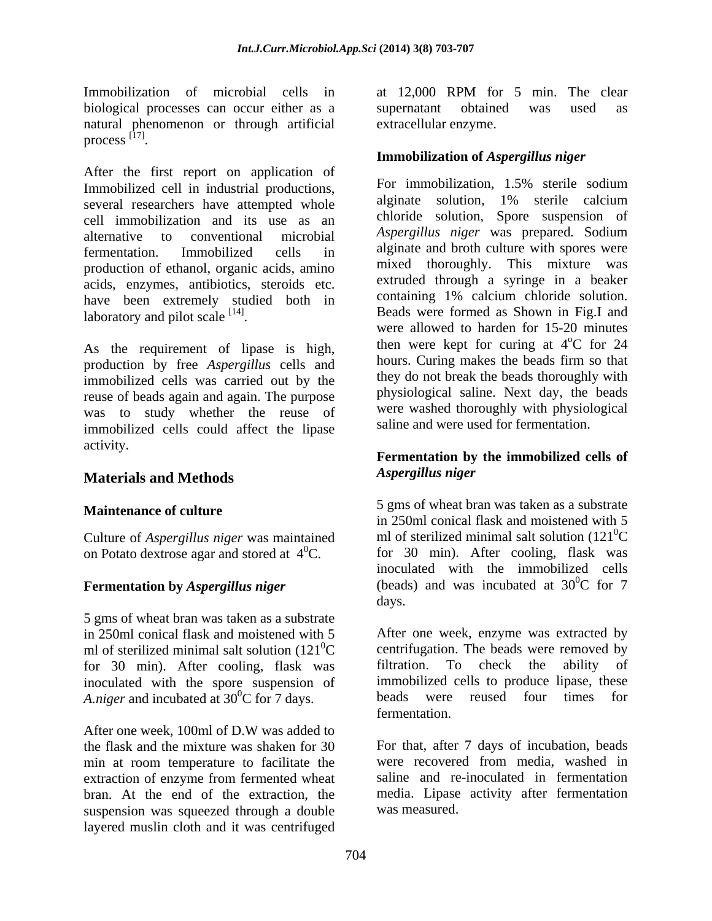biological processes can occur either as a natural phenomenon or through artificial process  $^{[17]}$ .  $\beta$  process  $\frac{[11]}{[11]}$ .  $[17]$ 

process  $\frac{[11]}{]}$ .<br>After the first report on application of  $\frac{[111]}{]}$  and  $\frac{[111]}{]}$  and  $\frac{[111]}{]}$  and  $\frac{[111]}{]}$  and  $\frac{[111]}{]}$  and  $\frac{[111]}{]}$  and  $\frac{[111]}{]}$  and  $\frac{[111]}{]}$  and  $\frac{[111]}{]}$  and  $\frac{[1$ Immobilized cell in industrial productions,<br>covered researchers have attempted whele alginate solution. 1% sterile calcium several researchers have attempted whole cell immobilization and its use as an alternative to conventional microbial *Aspergillus niger* was prepared*.* Sodium fermentation. Immobilized cells in algunate and broth culture with spores were production of ethanol, organic acids, amino acids, enzymes, antibiotics, steroids etc. have been extremely studied both in laboratory and pilot scale  $[14]$ . laboratory and pilot scale <sup>[14]</sup>. Beads were formed as Shown in Fig.I and

As the requirement of lipase is high, production by free *Aspergillus* cells and immobilized cells was carried out by the reuse of beads again and again. The purpose was to study whether the reuse of immobilized cells could affect the lipase activity.

## **Materials and Methods**

Culture of *Aspergillus niger* was maintained on Potato dextrose agar and stored at  $4^0C$ .

# **Fermentation by** *Aspergillus niger* (beads) (beads)

5 gms of wheat bran was taken as a substrate ml of sterilized minimal salt solution  $(121^0C$  centrifugation. The beads were remove<br>for 30 min). After cooling. flask was filtration. To check the ability for 30 min). After cooling, flask was filtration. To check the ability of inoculated with the spore suspension of immobilized cells to produce lipase, these  $\overline{A}$  night and incubated at  $30^0$ C for 7 days beads were reused four times for *A.niger* and incubated at  $30^{\circ}$ C for 7 days.

After one week, 100ml of D.W was added to the flask and the mixture was shaken for 30 For that, after 7 days of incubation, beads min at room temperature to facilitate the were recovered from media, washed in extraction of enzyme from fermented wheat saline and re-inoculated in fermentation bran. At the end of the extraction, the suspension was squeezed through a double layered muslin cloth and it was centrifuged

Immobilization of microbial cells in at 12,000 RPM for 5 min. The clear supernatant obtained was used as extracellular enzyme.

## **Immobilization of** *Aspergillus niger*

For immobilization, 1.5% sterile sodium alginate solution, 1% sterile calcium chloride solution, Spore suspension of alginate and broth culture with spores were mixed thoroughly. This mixture was extruded through a syringe in a beaker containing 1% calcium chloride solution. were allowed to harden for 15-20 minutes then were kept for curing at  $4^{\circ}$ C for 24 oC for 24 hours. Curing makes the beads firm so that they do not break the beads thoroughly with physiological saline. Next day, the beads were washed thoroughly with physiological saline and were used for fermentation.

## **Fermentation by the immobilized cells of** *Aspergillus niger*

**Maintenance of culture S** and the set of the set of the set of the set of the set of the set of the set of the set of the set of the set of the set of the set of the set of the set of the set of the set of the set of th 5 gms of wheat bran was taken as a substrate in 250ml conical flask and moistened with 5 ml of sterilized minimal salt solution  $(121^0C)$  ${}^{0}C$ for 30 min). After cooling, flask was inoculated with the immobilized cells (beads) and was incubated at  $30^{\circ}$ C for 7  ${}^{0}C$  for 7 days. The contract of the contract of the contract of the contract of the contract of the contract of the contract of the contract of the contract of the contract of the contract of the contract of the contract of the cont

in 250ml conical flask and moistened with 5 After one week, enzyme was extracted by  ${}^{0}C$  centrifugation. The beads were removed by filtration. To check the ability of immobilized cells to produce lipase, these beads were reused four fermentation.

> were recovered from media, washed in media. Lipase activity after fermentation was measured.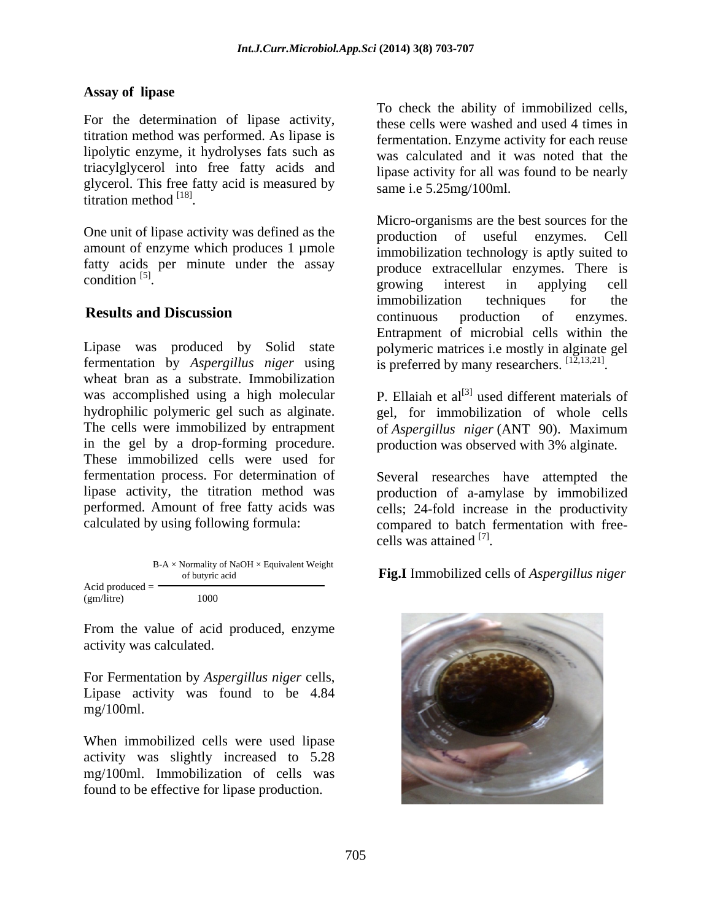## **Assay of lipase**

titration method was performed. As lipase is lipolytic enzyme, it hydrolyses fats such as triacylglycerol into free fatty acids and glycerol. This free fatty acid is measured by titration method  $^{[18]}$ titration method  $^{[18]}$ .

amount of enzyme which produces 1 µmole fatty acids per minute under the assay condition  $[5]$ .

Lipase was produced by Solid state wheat bran as a substrate. Immobilization was accomplished using a high molecular P. Ellaiah et al<sup>[3]</sup> used different materials of hydrophilic polymeric gel such as alginate. gel, for immobilization of whole cells The cells were immobilized by entrapment of *Aspergillus niger* (ANT 90). Maximum in the gel by a drop-forming procedure. production was observed with 3% alginate. These immobilized cells were used for fermentation process. For determination of Several researches have attempted the lipase activity, the titration method was production of a-amylase by immobilized performed. Amount of free fatty acids was cells; 24-fold increase in the productivity

|                   | $B-A \times$ Normality of NaOH $\times$ Equivalent Weight<br>of butyric acid | <b>Fig.I</b> Immobilized cells of <i>Aspergillus niger</i> |  |
|-------------------|------------------------------------------------------------------------------|------------------------------------------------------------|--|
| Acid produced $=$ |                                                                              |                                                            |  |
| (gm/litre)        | 1000                                                                         |                                                            |  |

From the value of acid produced, enzyme activity was calculated.

For Fermentation by *Aspergillus niger* cells, Lipase activity was found to be 4.84 mg/100ml.

When immobilized cells were used lipase activity was slightly increased to 5.28 mg/100ml. Immobilization of cells was found to be effective for lipase production.

For the determination of lipase activity, these cells were washed and used 4 times in To check the ability of immobilized cells, fermentation. Enzyme activity for each reuse was calculated and it was noted that the lipase activity for all was found to be nearly same i.e 5.25mg/100ml.

titration method <sup>[18]</sup>.<br>One unit of lipase activity was defined as the moduction of useful enzymes Cell  $\frac{[5]}{[5]}$  condition  $\frac{[5]}{[5]}$  condition  $\frac{[5]}{[5]}$  condition  $\frac{[5]}{[5]}$  condition  $\frac{[5]}{[5]}$  condition  $\frac{[5]}{[5]}$ e extending the contract of the contract in a single contract to the contract of the contract of the contract of the contract of the contract of the contract of the contract of the contract of the contract of the contract **Results and Discussion** continuous production of enzymes. fermentation by *Aspergillus niger* using is preferred by many researchers.  $^{[1\overline{2},13,21]}$ Micro-organisms are the best sources for the production of useful enzymes. Cell immobilization technology is aptly suited to produce extracellular enzymes. There is growing interest in applying cell immobilization techniques for the continuous production of enzymes. Entrapment of microbial cells within the polymeric matrices i.e mostly in alginate gel .

calculated by using following formula: compared to batch fermentation with free cells was attained  $^{[7]}$ . . The contract of the contract of the contract of the contract of the contract of the contract of the contract<br>The contract of the contract of the contract of the contract of the contract of the contract of the contract o

of butyric acid **Fig.I** Immobilized cells of *Aspergillus niger*

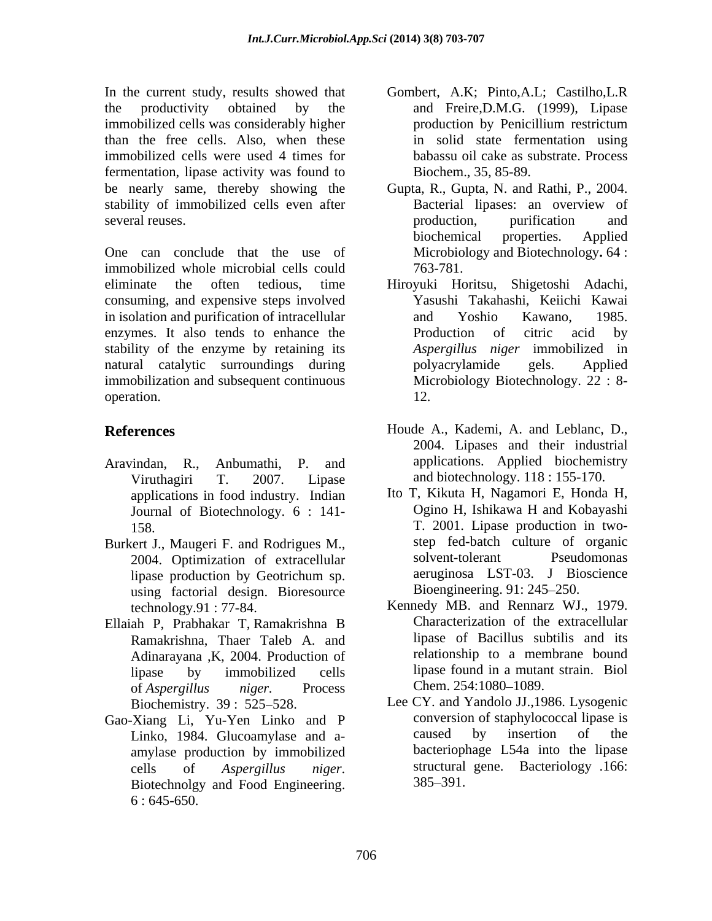In the current study, results showed that Gombert, A.K; Pinto,A.L; Castilho,L.R the productivity obtained by the and Freire,D.M.G. (1999), Lipase immobilized cells was considerably higher than the free cells. Also, when these immobilized cells were used 4 times for fermentation, lipase activity was found to be nearly same, thereby showing the Gupta, R., Gupta, N. and Rathi, P., 2004. stability of immobilized cells even after **Bacterial lipases**: an overview of several reuses. The contraction of the production, the purification and several reuses.

One can conclude that the use of immobilized whole microbial cells could eliminate the often tedious, time consuming, and expensive steps involved in isolation and purification of intracellular and Yoshio Kawano, 1985. enzymes. It also tends to enhance the Production of citric acid by stability of the enzyme by retaining its natural catalytic surroundings during bolyacrylamide gels. Applied immobilization and subsequent continuous operation. 12.

- Viruthagiri T. 2007. Lipase and biotechnology. 118 : 155-170. applications in food industry. Indian Journal of Biotechnology. 6 : 141-
- Burkert J., Maugeri F. and Rodrigues M.,<br>2004 Optimization of extracellular solvent-tolerant Pseudomonas 2004. Optimization of extracellular using factorial design. Bioresource
- Ellaiah P, Prabhakar T, Ramakrishna B Ramakrishna, Thaer Taleb A. and Adinarayana ,K, 2004. Production of of *Aspergillus niger.* Process
- Gao-Xiang Li, Yu-Yen Linko and P conversion of staphylococcal lip<br>Linko 1984 Glucoamylase and a-<br>caused by insertion of amylase production by immobilized  $6:645-650.$
- production by Penicillium restrictum in solid state fermentation using babassu oil cake as substrate. Process Biochem., 35, 85-89.
- Bacterial lipases: an overview of production, purification and biochemical properties. Applied Microbiology and Biotechnology**.** 64 : 763-781.
- Hiroyuki Horitsu, Shigetoshi Adachi, Yasushi Takahashi, Keiichi Kawai and Yoshio Kawano, 1985. Production of citric acid by *Aspergillus niger* immobilized in polyacrylamide gels. Applied Microbiology Biotechnology. 22 : 8- 12.
- **References** Houde A., Kademi, A. and Leblanc, D., Aravindan, R., Anbumathi, P. and applications. Applied biochemistry 2004. Lipases and their industrial
	- 158. T. 2001. Lipase production in two lipase production by Geotrichum sp. <br>aeruginosa LST-03. J Bioscience Ito T, Kikuta H, Nagamori E, Honda H, Ogino H, Ishikawa H and Kobayashi step fed-batch culture of organic solvent-tolerant Pseudomonas aeruginosa LST-03. J Bioscience Bioengineering. 91: 245 250.
	- technology.91 : 77-84. Kennedy MB. and Rennarz WJ., 1979. lipase by immobilized cells lipase found in a mutant strain. Biol Characterization of the extracellular lipase of Bacillus subtilis and its relationship to a membrane bound Chem. 254:1080–1089.
	- Biochemistry. 39: 525–528. Lee CY. and Yandolo JJ., 1986. Lysogenic Linko, 1984. Glucoamylase and a-<br>caused by insertion of the cells of *Aspergillus niger*. structural gene. Bacteriology 166:<br>Biotechnolgy and Food Engineering. 385–391. conversion of staphylococcal lipase is caused by insertion of the bacteriophage L54a into the lipase structural gene. Bacteriology .166:  $385 - 391$ .